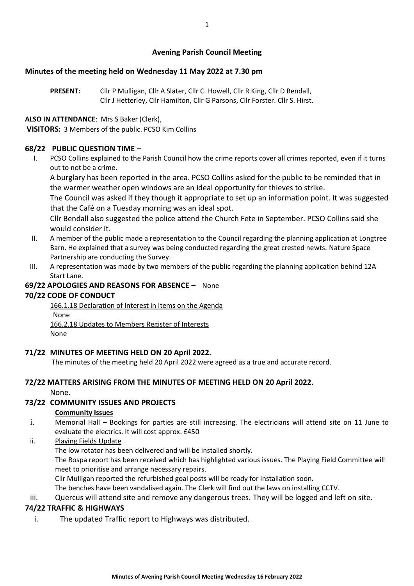# **Avening Parish Council Meeting**

## **Minutes of the meeting held on Wednesday 11 May 2022 at 7.30 pm**

**PRESENT:** Cllr P Mulligan, Cllr A Slater, Cllr C. Howell, Cllr R King, Cllr D Bendall, Cllr J Hetterley, Cllr Hamilton, Cllr G Parsons, Cllr Forster. Cllr S. Hirst.

# **ALSO IN ATTENDANCE**: Mrs S Baker (Clerk),

**VISITORS:** 3 Members of the public. PCSO Kim Collins

# **68/22 PUBLIC QUESTION TIME –**

I. PCSO Collins explained to the Parish Council how the crime reports cover all crimes reported, even if it turns out to not be a crime.

A burglary has been reported in the area. PCSO Collins asked for the public to be reminded that in the warmer weather open windows are an ideal opportunity for thieves to strike.

The Council was asked if they though it appropriate to set up an information point. It was suggested that the Café on a Tuesday morning was an ideal spot.

Cllr Bendall also suggested the police attend the Church Fete in September. PCSO Collins said she would consider it.

- II. A member of the public made a representation to the Council regarding the planning application at Longtree Barn. He explained that a survey was being conducted regarding the great crested newts. Nature Space Partnership are conducting the Survey.
- III. A representation was made by two members of the public regarding the planning application behind 12A Start Lane.

# **69/22 APOLOGIES AND REASONS FOR ABSENCE –** None

# **70/22 CODE OF CONDUCT**

166.1.18 Declaration of Interest in Items on the Agenda None 166.2.18 Updates to Members Register of Interests None

# **71/22 MINUTES OF MEETING HELD ON 20 April 2022.**

The minutes of the meeting held 20 April 2022 were agreed as a true and accurate record.

## **72/22 MATTERS ARISING FROM THE MINUTES OF MEETING HELD ON 20 April 2022.**

None.

# **73/22 COMMUNITY ISSUES AND PROJECTS**

## **Community Issues**

- i. Memorial Hall Bookings for parties are still increasing. The electricians will attend site on 11 June to evaluate the electrics. It will cost approx. £450
- ii. Playing Fields Update

The low rotator has been delivered and will be installed shortly.

The Rospa report has been received which has highlighted various issues. The Playing Field Committee will meet to prioritise and arrange necessary repairs.

Cllr Mulligan reported the refurbished goal posts will be ready for installation soon.

The benches have been vandalised again. The Clerk will find out the laws on installing CCTV.

iii. Quercus will attend site and remove any dangerous trees. They will be logged and left on site.

# **74/22 TRAFFIC & HIGHWAYS**

i. The updated Traffic report to Highways was distributed.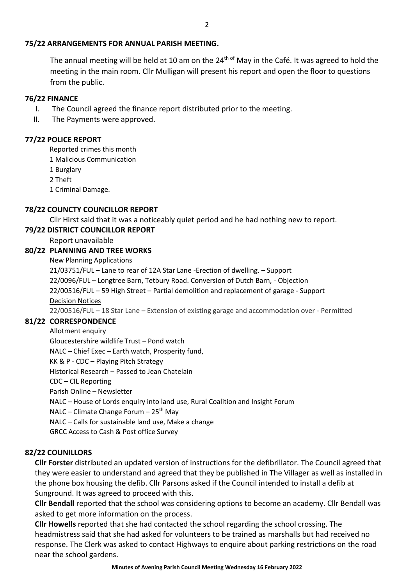### **75/22 ARRANGEMENTS FOR ANNUAL PARISH MEETING.**

The annual meeting will be held at 10 am on the 24<sup>th of</sup> May in the Café. It was agreed to hold the meeting in the main room. Cllr Mulligan will present his report and open the floor to questions from the public.

#### **76/22 FINANCE**

- I. The Council agreed the finance report distributed prior to the meeting.
- II. The Payments were approved.

#### **77/22 POLICE REPORT**

Reported crimes this month

1 Malicious Communication

1 Burglary

2 Theft

1 Criminal Damage.

#### **78/22 COUNCTY COUNCILLOR REPORT**

Cllr Hirst said that it was a noticeably quiet period and he had nothing new to report.

#### **79/22 DISTRICT COUNCILLOR REPORT**

Report unavailable

## **80/22 PLANNING AND TREE WORKS**

# New Planning Applications

21/03751/FUL – Lane to rear of 12A Star Lane -Erection of dwelling. – Support 22/0096/FUL – Longtree Barn, Tetbury Road. Conversion of Dutch Barn, - Objection 22/00516/FUL – 59 High Street – Partial demolition and replacement of garage - Support Decision Notices 22/00516/FUL – 18 Star Lane – Extension of existing garage and accommodation over - Permitted

## **81/22 CORRESPONDENCE**

Allotment enquiry

Gloucestershire wildlife Trust – Pond watch

NALC – Chief Exec – Earth watch, Prosperity fund,

KK & P - CDC – Playing Pitch Strategy

Historical Research – Passed to Jean Chatelain

CDC – CIL Reporting

Parish Online – Newsletter

NALC – House of Lords enquiry into land use, Rural Coalition and Insight Forum

NALC – Climate Change Forum –  $25<sup>th</sup>$  May

NALC – Calls for sustainable land use, Make a change

GRCC Access to Cash & Post office Survey

## **82/22 COUNILLORS**

**Cllr Forster** distributed an updated version of instructions for the defibrillator. The Council agreed that they were easier to understand and agreed that they be published in The Villager as well as installed in the phone box housing the defib. Cllr Parsons asked if the Council intended to install a defib at Sunground. It was agreed to proceed with this.

**Cllr Bendall** reported that the school was considering options to become an academy. Cllr Bendall was asked to get more information on the process.

**Cllr Howells** reported that she had contacted the school regarding the school crossing. The headmistress said that she had asked for volunteers to be trained as marshalls but had received no response. The Clerk was asked to contact Highways to enquire about parking restrictions on the road near the school gardens.